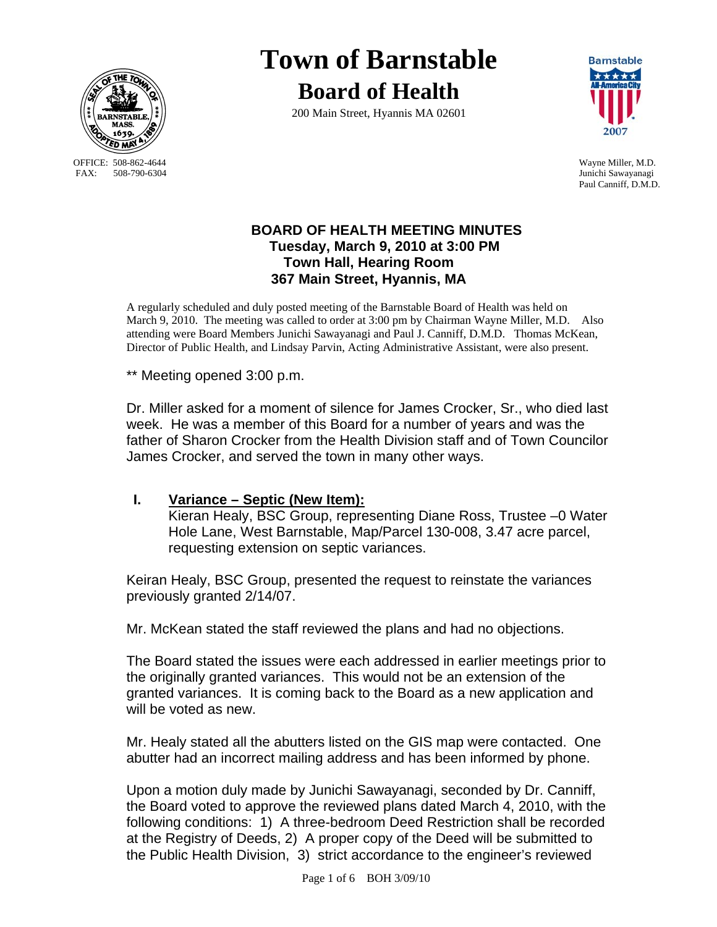

OFFICE: 508-862-4644 Wayne Miller, M.D.<br>
FAX: 508-790-6304 Junichi Sawayanagi

# **Town of Barnstable Board of Health**

200 Main Street, Hyannis MA 02601



Junichi Sawayanagi Paul Canniff, D.M.D.

### **BOARD OF HEALTH MEETING MINUTES Tuesday, March 9, 2010 at 3:00 PM Town Hall, Hearing Room 367 Main Street, Hyannis, MA**

A regularly scheduled and duly posted meeting of the Barnstable Board of Health was held on March 9, 2010. The meeting was called to order at 3:00 pm by Chairman Wayne Miller, M.D. Also attending were Board Members Junichi Sawayanagi and Paul J. Canniff, D.M.D. Thomas McKean, Director of Public Health, and Lindsay Parvin, Acting Administrative Assistant, were also present.

\*\* Meeting opened 3:00 p.m.

Dr. Miller asked for a moment of silence for James Crocker, Sr., who died last week. He was a member of this Board for a number of years and was the father of Sharon Crocker from the Health Division staff and of Town Councilor James Crocker, and served the town in many other ways.

#### **I. Variance – Septic (New Item):**

Kieran Healy, BSC Group, representing Diane Ross, Trustee –0 Water Hole Lane, West Barnstable, Map/Parcel 130-008, 3.47 acre parcel, requesting extension on septic variances.

Keiran Healy, BSC Group, presented the request to reinstate the variances previously granted 2/14/07.

Mr. McKean stated the staff reviewed the plans and had no objections.

The Board stated the issues were each addressed in earlier meetings prior to the originally granted variances. This would not be an extension of the granted variances. It is coming back to the Board as a new application and will be voted as new.

Mr. Healy stated all the abutters listed on the GIS map were contacted. One abutter had an incorrect mailing address and has been informed by phone.

Upon a motion duly made by Junichi Sawayanagi, seconded by Dr. Canniff, the Board voted to approve the reviewed plans dated March 4, 2010, with the following conditions: 1) A three-bedroom Deed Restriction shall be recorded at the Registry of Deeds, 2) A proper copy of the Deed will be submitted to the Public Health Division, 3) strict accordance to the engineer's reviewed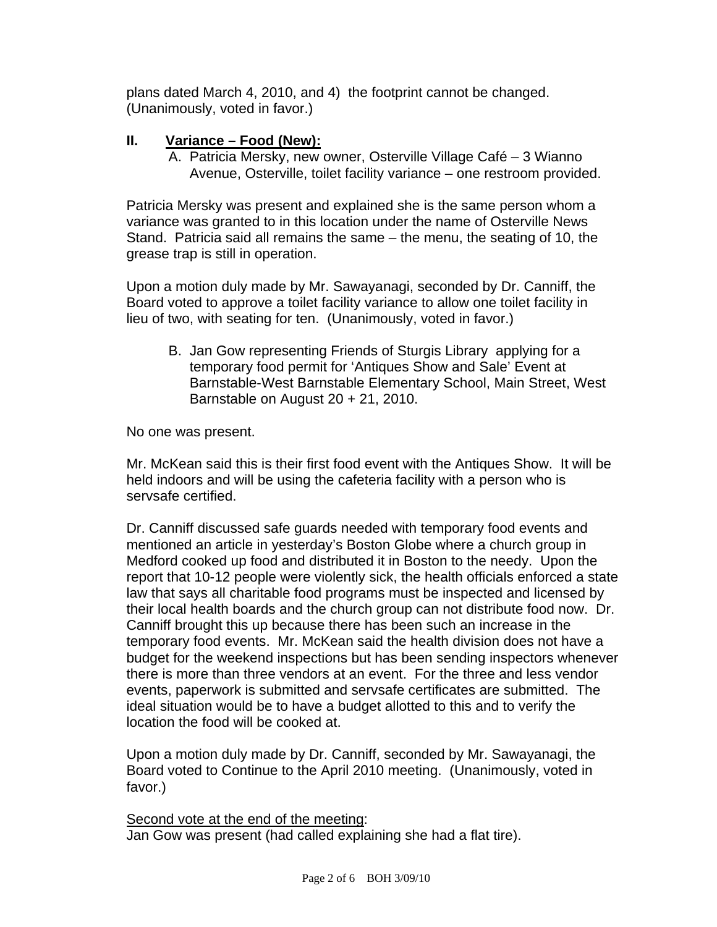plans dated March 4, 2010, and 4) the footprint cannot be changed. (Unanimously, voted in favor.)

### **II. Variance – Food (New):**

A. Patricia Mersky, new owner, Osterville Village Café – 3 Wianno Avenue, Osterville, toilet facility variance – one restroom provided.

Patricia Mersky was present and explained she is the same person whom a variance was granted to in this location under the name of Osterville News Stand. Patricia said all remains the same – the menu, the seating of 10, the grease trap is still in operation.

Upon a motion duly made by Mr. Sawayanagi, seconded by Dr. Canniff, the Board voted to approve a toilet facility variance to allow one toilet facility in lieu of two, with seating for ten. (Unanimously, voted in favor.)

B. Jan Gow representing Friends of Sturgis Library applying for a temporary food permit for 'Antiques Show and Sale' Event at Barnstable-West Barnstable Elementary School, Main Street, West Barnstable on August 20 + 21, 2010.

No one was present.

Mr. McKean said this is their first food event with the Antiques Show. It will be held indoors and will be using the cafeteria facility with a person who is servsafe certified.

Dr. Canniff discussed safe guards needed with temporary food events and mentioned an article in yesterday's Boston Globe where a church group in Medford cooked up food and distributed it in Boston to the needy. Upon the report that 10-12 people were violently sick, the health officials enforced a state law that says all charitable food programs must be inspected and licensed by their local health boards and the church group can not distribute food now. Dr. Canniff brought this up because there has been such an increase in the temporary food events. Mr. McKean said the health division does not have a budget for the weekend inspections but has been sending inspectors whenever there is more than three vendors at an event. For the three and less vendor events, paperwork is submitted and servsafe certificates are submitted. The ideal situation would be to have a budget allotted to this and to verify the location the food will be cooked at.

Upon a motion duly made by Dr. Canniff, seconded by Mr. Sawayanagi, the Board voted to Continue to the April 2010 meeting. (Unanimously, voted in favor.)

Second vote at the end of the meeting: Jan Gow was present (had called explaining she had a flat tire).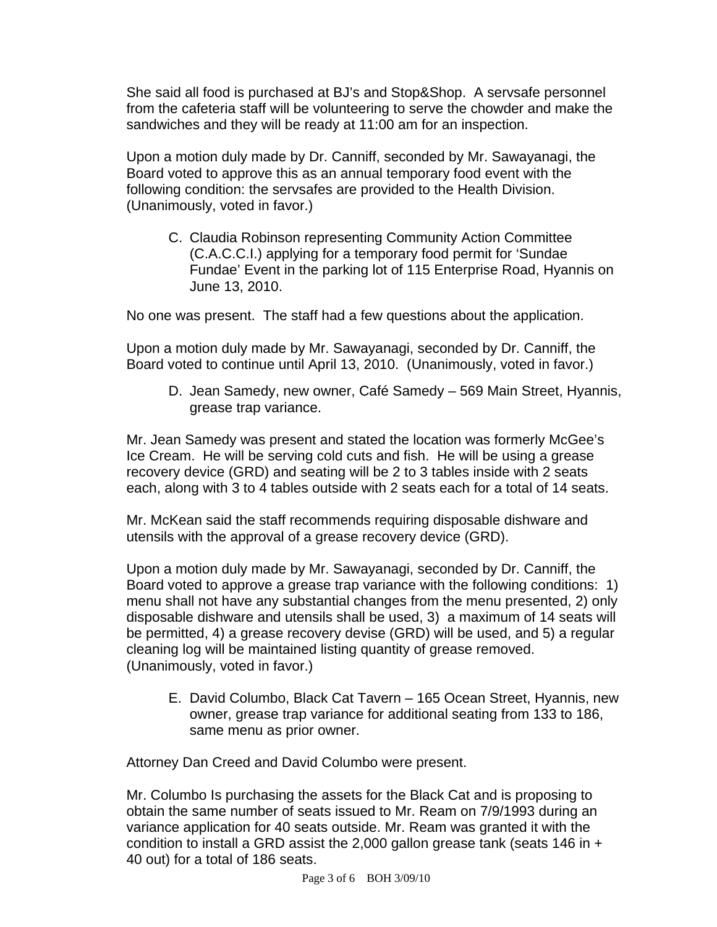She said all food is purchased at BJ's and Stop&Shop. A servsafe personnel from the cafeteria staff will be volunteering to serve the chowder and make the sandwiches and they will be ready at 11:00 am for an inspection.

Upon a motion duly made by Dr. Canniff, seconded by Mr. Sawayanagi, the Board voted to approve this as an annual temporary food event with the following condition: the servsafes are provided to the Health Division. (Unanimously, voted in favor.)

C. Claudia Robinson representing Community Action Committee (C.A.C.C.I.) applying for a temporary food permit for 'Sundae Fundae' Event in the parking lot of 115 Enterprise Road, Hyannis on June 13, 2010.

No one was present. The staff had a few questions about the application.

Upon a motion duly made by Mr. Sawayanagi, seconded by Dr. Canniff, the Board voted to continue until April 13, 2010. (Unanimously, voted in favor.)

D. Jean Samedy, new owner, Café Samedy – 569 Main Street, Hyannis, grease trap variance.

Mr. Jean Samedy was present and stated the location was formerly McGee's Ice Cream. He will be serving cold cuts and fish. He will be using a grease recovery device (GRD) and seating will be 2 to 3 tables inside with 2 seats each, along with 3 to 4 tables outside with 2 seats each for a total of 14 seats.

Mr. McKean said the staff recommends requiring disposable dishware and utensils with the approval of a grease recovery device (GRD).

Upon a motion duly made by Mr. Sawayanagi, seconded by Dr. Canniff, the Board voted to approve a grease trap variance with the following conditions: 1) menu shall not have any substantial changes from the menu presented, 2) only disposable dishware and utensils shall be used, 3) a maximum of 14 seats will be permitted, 4) a grease recovery devise (GRD) will be used, and 5) a regular cleaning log will be maintained listing quantity of grease removed. (Unanimously, voted in favor.)

E. David Columbo, Black Cat Tavern – 165 Ocean Street, Hyannis, new owner, grease trap variance for additional seating from 133 to 186, same menu as prior owner.

Attorney Dan Creed and David Columbo were present.

Mr. Columbo Is purchasing the assets for the Black Cat and is proposing to obtain the same number of seats issued to Mr. Ream on 7/9/1993 during an variance application for 40 seats outside. Mr. Ream was granted it with the condition to install a GRD assist the 2,000 gallon grease tank (seats 146 in + 40 out) for a total of 186 seats.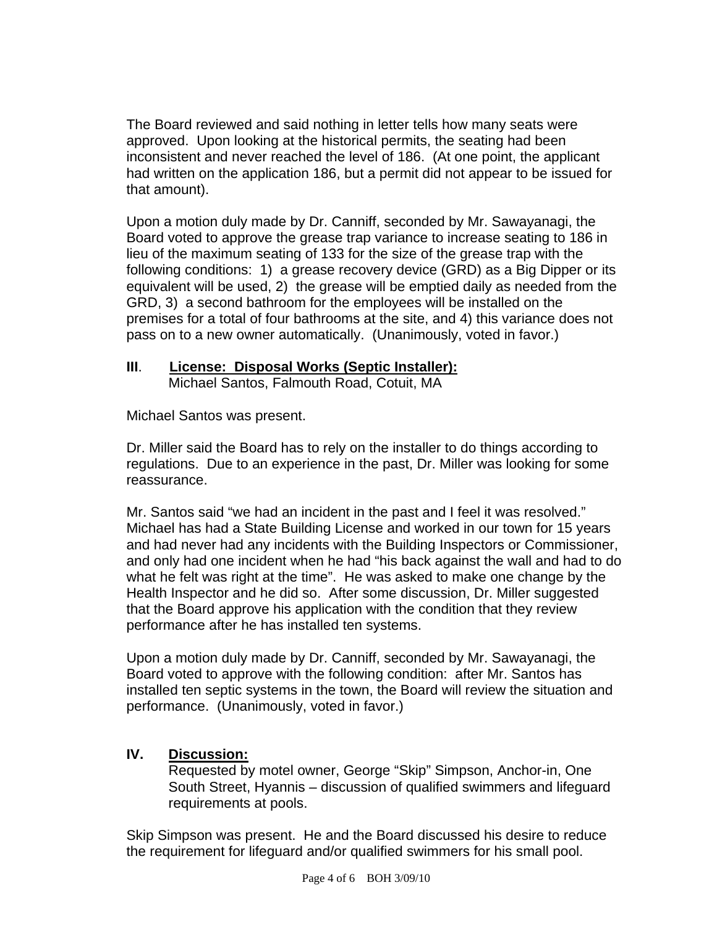The Board reviewed and said nothing in letter tells how many seats were approved. Upon looking at the historical permits, the seating had been inconsistent and never reached the level of 186. (At one point, the applicant had written on the application 186, but a permit did not appear to be issued for that amount).

Upon a motion duly made by Dr. Canniff, seconded by Mr. Sawayanagi, the Board voted to approve the grease trap variance to increase seating to 186 in lieu of the maximum seating of 133 for the size of the grease trap with the following conditions: 1) a grease recovery device (GRD) as a Big Dipper or its equivalent will be used, 2) the grease will be emptied daily as needed from the GRD, 3) a second bathroom for the employees will be installed on the premises for a total of four bathrooms at the site, and 4) this variance does not pass on to a new owner automatically. (Unanimously, voted in favor.)

## **III**. **License: Disposal Works (Septic Installer):**

Michael Santos, Falmouth Road, Cotuit, MA

Michael Santos was present.

Dr. Miller said the Board has to rely on the installer to do things according to regulations. Due to an experience in the past, Dr. Miller was looking for some reassurance.

Mr. Santos said "we had an incident in the past and I feel it was resolved." Michael has had a State Building License and worked in our town for 15 years and had never had any incidents with the Building Inspectors or Commissioner, and only had one incident when he had "his back against the wall and had to do what he felt was right at the time". He was asked to make one change by the Health Inspector and he did so. After some discussion, Dr. Miller suggested that the Board approve his application with the condition that they review performance after he has installed ten systems.

Upon a motion duly made by Dr. Canniff, seconded by Mr. Sawayanagi, the Board voted to approve with the following condition: after Mr. Santos has installed ten septic systems in the town, the Board will review the situation and performance. (Unanimously, voted in favor.)

#### **IV. Discussion:**

Requested by motel owner, George "Skip" Simpson, Anchor-in, One South Street, Hyannis – discussion of qualified swimmers and lifeguard requirements at pools.

Skip Simpson was present. He and the Board discussed his desire to reduce the requirement for lifeguard and/or qualified swimmers for his small pool.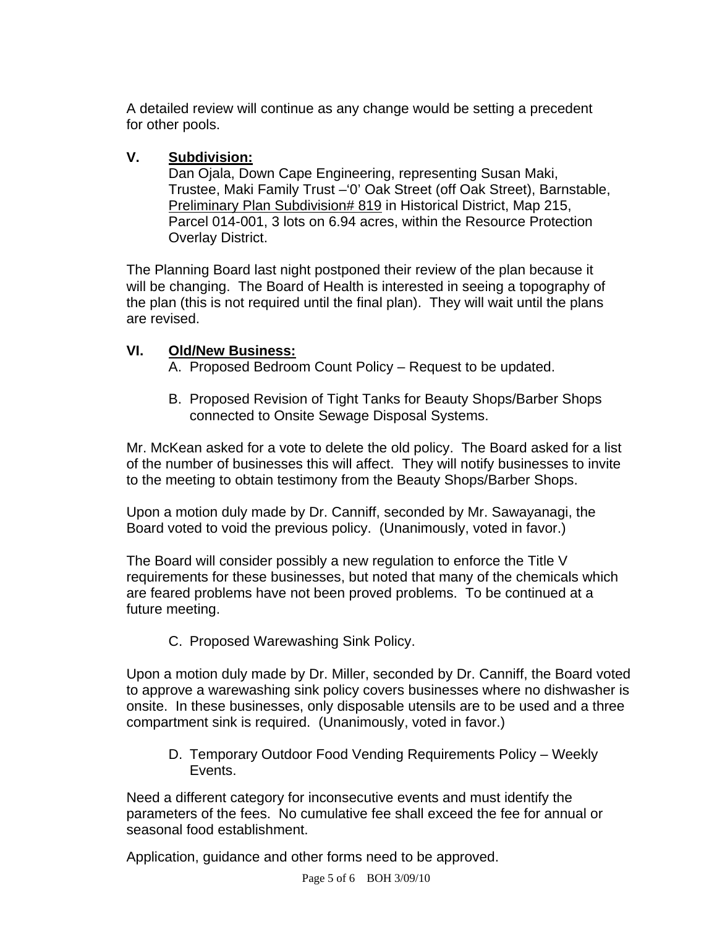A detailed review will continue as any change would be setting a precedent for other pools.

## **V. Subdivision:**

Dan Ojala, Down Cape Engineering, representing Susan Maki, Trustee, Maki Family Trust –'0' Oak Street (off Oak Street), Barnstable, Preliminary Plan Subdivision# 819 in Historical District, Map 215, Parcel 014-001, 3 lots on 6.94 acres, within the Resource Protection Overlay District.

The Planning Board last night postponed their review of the plan because it will be changing. The Board of Health is interested in seeing a topography of the plan (this is not required until the final plan). They will wait until the plans are revised.

# **VI. Old/New Business:**

A. Proposed Bedroom Count Policy – Request to be updated.

B. Proposed Revision of Tight Tanks for Beauty Shops/Barber Shops connected to Onsite Sewage Disposal Systems.

Mr. McKean asked for a vote to delete the old policy. The Board asked for a list of the number of businesses this will affect. They will notify businesses to invite to the meeting to obtain testimony from the Beauty Shops/Barber Shops.

Upon a motion duly made by Dr. Canniff, seconded by Mr. Sawayanagi, the Board voted to void the previous policy. (Unanimously, voted in favor.)

The Board will consider possibly a new regulation to enforce the Title V requirements for these businesses, but noted that many of the chemicals which are feared problems have not been proved problems. To be continued at a future meeting.

C. Proposed Warewashing Sink Policy.

Upon a motion duly made by Dr. Miller, seconded by Dr. Canniff, the Board voted to approve a warewashing sink policy covers businesses where no dishwasher is onsite. In these businesses, only disposable utensils are to be used and a three compartment sink is required. (Unanimously, voted in favor.)

D. Temporary Outdoor Food Vending Requirements Policy – Weekly Events.

Need a different category for inconsecutive events and must identify the parameters of the fees. No cumulative fee shall exceed the fee for annual or seasonal food establishment.

Application, guidance and other forms need to be approved.